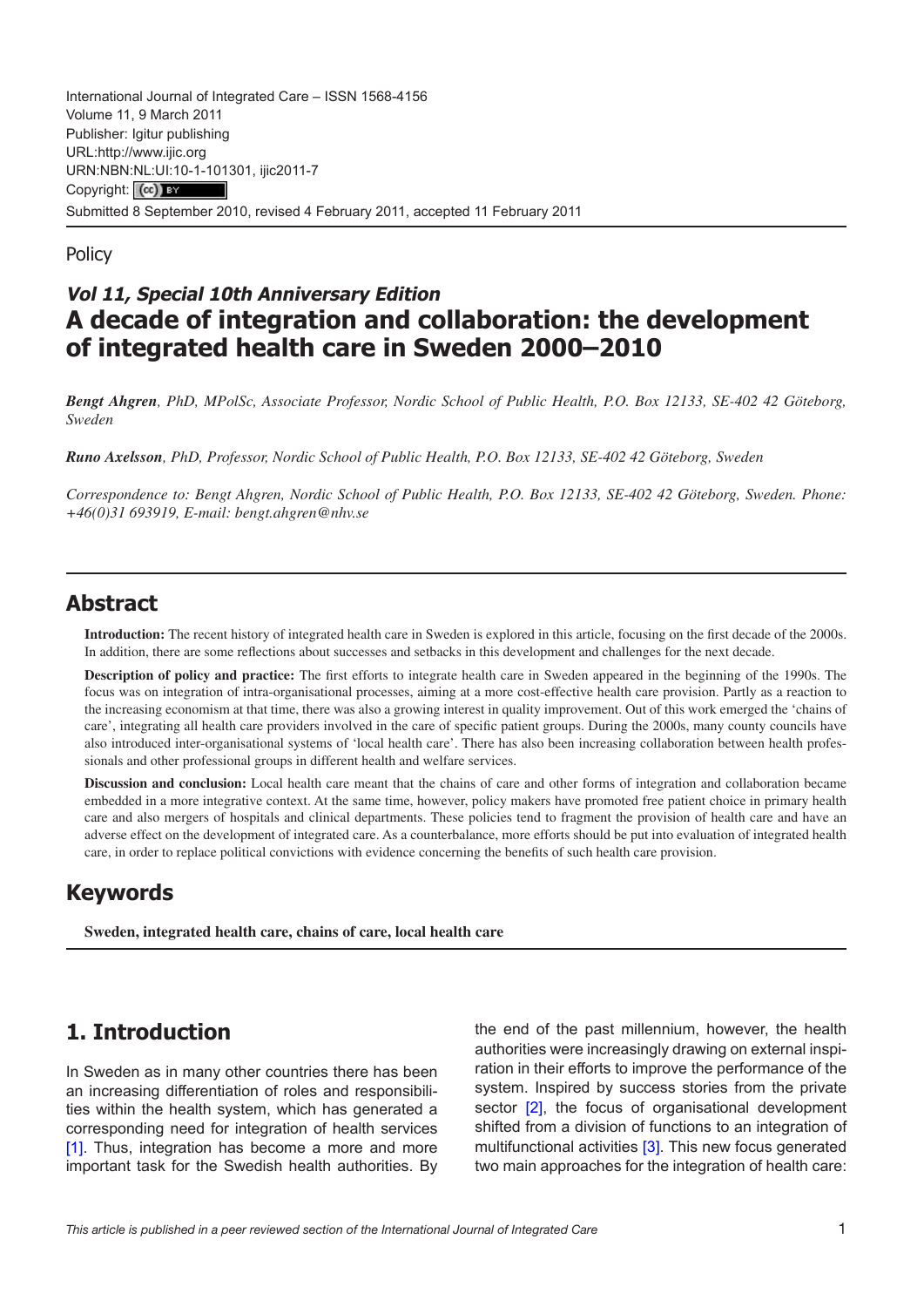International Journal of Integrated Care – ISSN 1568-4156 Volume 11, 9 March 2011 Publisher: Igitur publishing URL[:http://www.ijic.org](http://www.ijic.org) URN:NBN[:NL:UI:10-1-1013](http://creativecommons.org/licenses/by/3.0/)01, ijic2011-7 Copyright: (cc) BY Submitted 8 September 2010, revised 4 February 2011, accepted 11 February 2011

**Policy** 

### **Vol 11, Special 10th Anniversary Edition A decade of integration and collaboration: the development of integrated health care in Sweden 2000–2010**

*Bengt Ahgren, PhD, MPolSc, Associate Professor, Nordic School of Public Health, P.O. Box 12133, SE-402 42 Göteborg, Sweden*

*Runo Axelsson, PhD, Professor, Nordic School of Public Health, P.O. Box 12133, SE-402 42 Göteborg, Sweden*

*Correspondence to: Bengt Ahgren, Nordic School of Public Health, P.O. Box 12133, SE-402 42 Göteborg, Sweden. Phone: +46(0)31 693919, E-mail: [bengt.ahgren@nhv.se](mailto:bengt.ahgren@nhv.se)*

#### **Abstract**

**Introduction:** The recent history of integrated health care in Sweden is explored in this article, focusing on the first decade of the 2000s. In addition, there are some reflections about successes and setbacks in this development and challenges for the next decade.

**Description of policy and practice:** The first efforts to integrate health care in Sweden appeared in the beginning of the 1990s. The focus was on integration of intra-organisational processes, aiming at a more cost-effective health care provision. Partly as a reaction to the increasing economism at that time, there was also a growing interest in quality improvement. Out of this work emerged the 'chains of care', integrating all health care providers involved in the care of specific patient groups. During the 2000s, many county councils have also introduced inter-organisational systems of 'local health care'. There has also been increasing collaboration between health professionals and other professional groups in different health and welfare services.

**Discussion and conclusion:** Local health care meant that the chains of care and other forms of integration and collaboration became embedded in a more integrative context. At the same time, however, policy makers have promoted free patient choice in primary health care and also mergers of hospitals and clinical departments. These policies tend to fragment the provision of health care and have an adverse effect on the development of integrated care. As a counterbalance, more efforts should be put into evaluation of integrated health care, in order to replace political convictions with evidence concerning the benefits of such health care provision.

# **Keywords**

**Sweden, integrated health care, chains of care, local health care**

# **1. Introduction**

In Sweden as in many other countries there has been an increasing differentiation of roles and responsibilities within the health system, which has generated a corresponding need for integration of health services [\[1\]](#page-5-0). Thus, integration has become a more and more important task for the Swedish health authorities. By

the end of the past millennium, however, the health authorities were increasingly drawing on external inspiration in their efforts to improve the performance of the system. Inspired by success stories from the private sector [[2](#page-5-0)], the focus of organisational development shifted from a division of functions to an integration of multifunctional activities [[3\]](#page-5-0). This new focus generated two main approaches for the integration of health care: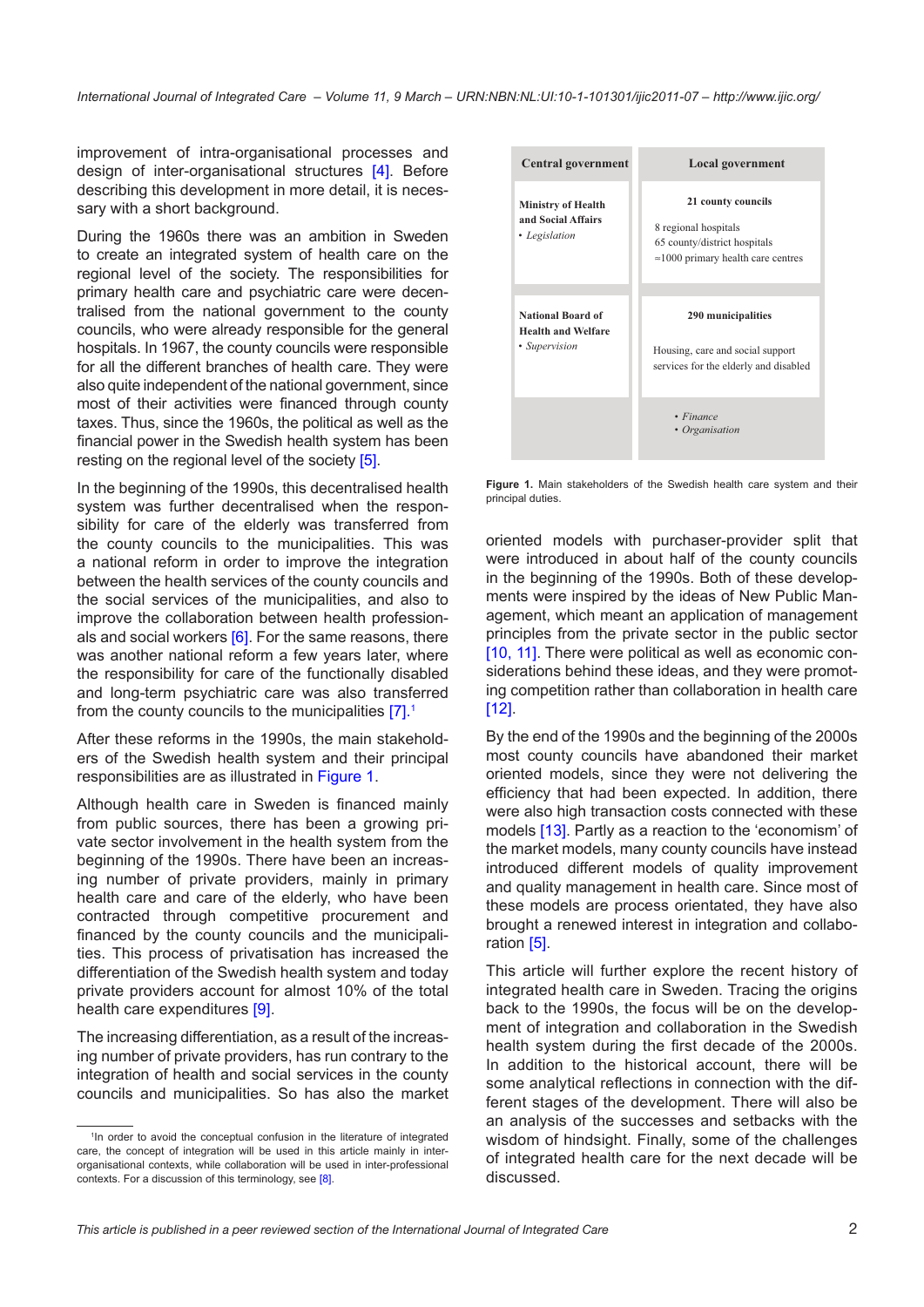improvement of intra-organisational processes and design of inter-organisational structures [[4](#page-5-0)]. Before describing this development in more detail, it is necessary with a short background.

During the 1960s there was an ambition in Sweden to create an integrated system of health care on the regional level of the society. The responsibilities for primary health care and psychiatric care were decentralised from the national government to the county councils, who were already responsible for the general hospitals. In 1967, the county councils were responsible for all the different branches of health care. They were also quite independent of the national government, since most of their activities were financed through county taxes. Thus, since the 1960s, the political as well as the financial power in the Swedish health system has been resting on the regional level of the society [[5](#page-5-0)].

In the beginning of the 1990s, this decentralised health system was further decentralised when the responsibility for care of the elderly was transferred from the county councils to the municipalities. This was a national reform in order to improve the integration between the health services of the county councils and the social services of the municipalities, and also to improve the collaboration between health professionals and social workers  $[6]$  $[6]$  $[6]$ . For the same reasons, there was another national reform a few years later, where the responsibility for care of the functionally disabled and long-term psychiatric care was also transferred from the county councils to the municipalities [[7](#page-5-0)]. 1

After these reforms in the 1990s, the main stakeholders of the Swedish health system and their principal responsibilities are as illustrated in Figure 1.

Although health care in Sweden is financed mainly from public sources, there has been a growing private sector involvement in the health system from the beginning of the 1990s. There have been an increasing number of private providers, mainly in primary health care and care of the elderly, who have been contracted through competitive procurement and financed by the county councils and the municipalities. This process of privatisation has increased the differentiation of the Swedish health system and today private providers account for almost 10% of the total health care expenditures [[9\]](#page-5-0).

The increasing differentiation, as a result of the increasing number of private providers, has run contrary to the integration of health and social services in the county councils and municipalities. So has also the market



**Figure 1.** Main stakeholders of the Swedish health care system and their principal duties.

oriented models with purchaser-provider split that were introduced in about half of the county councils in the beginning of the 1990s. Both of these developments were inspired by the ideas of New Public Management, which meant an application of management principles from the private sector in the public sector [\[10](#page-5-0), [11](#page-5-0)]. There were political as well as economic considerations behind these ideas, and they were promoting competition rather than collaboration in health care [\[12](#page-5-0)].

By the end of the 1990s and the beginning of the 2000s most county councils have abandoned their market oriented models, since they were not delivering the efficiency that had been expected. In addition, there were also high transaction costs connected with these models [[13](#page-5-0)]. Partly as a reaction to the 'economism' of the market models, many county councils have instead introduced different models of quality improvement and quality management in health care. Since most of these models are process orientated, they have also brought a renewed interest in integration and collaboration [[5](#page-5-0)].

This article will further explore the recent history of integrated health care in Sweden. Tracing the origins back to the 1990s, the focus will be on the development of integration and collaboration in the Swedish health system during the first decade of the 2000s. In addition to the historical account, there will be some analytical reflections in connection with the different stages of the development. There will also be an analysis of the successes and setbacks with the wisdom of hindsight. Finally, some of the challenges of integrated health care for the next decade will be discussed.

<sup>&</sup>lt;sup>1</sup>In order to avoid the conceptual confusion in the literature of integrated care, the concept of integration will be used in this article mainly in interorganisational contexts, while collaboration will be used in inter-professional contexts. For a discussion of this terminology, see [[8\]](#page-5-0).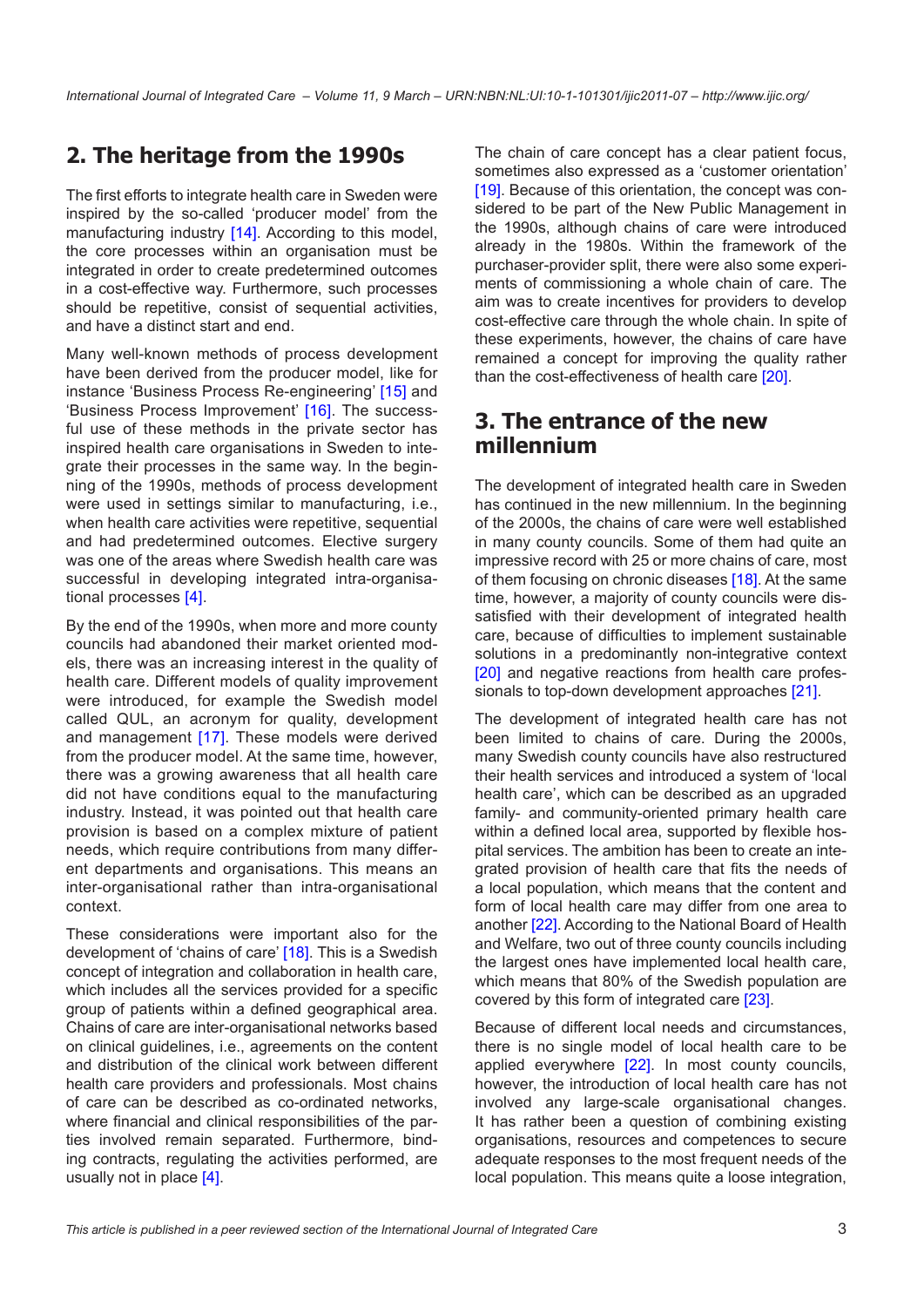# **2. The heritage from the 1990s**

The first efforts to integrate health care in Sweden were inspired by the so-called 'producer model' from the manufacturing industry [[14\]](#page-5-0). According to this model, the core processes within an organisation must be integrated in order to create predetermined outcomes in a cost-effective way. Furthermore, such processes should be repetitive, consist of sequential activities, and have a distinct start and end.

Many well-known methods of process development have been derived from the producer model, like for instance 'Business Process Re-engineering' [[15](#page-5-0)] and 'Business Process Improvement' [\[16\]](#page-5-0). The successful use of these methods in the private sector has inspired health care organisations in Sweden to integrate their processes in the same way. In the beginning of the 1990s, methods of process development were used in settings similar to manufacturing, i.e., when health care activities were repetitive, sequential and had predetermined outcomes. Elective surgery was one of the areas where Swedish health care was successful in developing integrated intra-organisational processes [\[4\]](#page-5-0).

By the end of the 1990s, when more and more county councils had abandoned their market oriented models, there was an increasing interest in the quality of health care. Different models of quality improvement were introduced, for example the Swedish model called QUL, an acronym for quality, development and management [[17](#page-5-0)]. These models were derived from the producer model. At the same time, however, there was a growing awareness that all health care did not have conditions equal to the manufacturing industry. Instead, it was pointed out that health care provision is based on a complex mixture of patient needs, which require contributions from many different departments and organisations. This means an inter-organisational rather than intra-organisational context.

These considerations were important also for the development of 'chains of care' [\[18](#page-5-0)]. This is a Swedish concept of integration and collaboration in health care, which includes all the services provided for a specific group of patients within a defined geographical area. Chains of care are inter-organisational networks based on clinical guidelines, i.e., agreements on the content and distribution of the clinical work between different health care providers and professionals. Most chains of care can be described as co-ordinated networks, where financial and clinical responsibilities of the parties involved remain separated. Furthermore, binding contracts, regulating the activities performed, are usually not in place [\[4\]](#page-5-0).

The chain of care concept has a clear patient focus, sometimes also expressed as a 'customer orientation' [[19](#page-5-0)]. Because of this orientation, the concept was considered to be part of the New Public Management in the 1990s, although chains of care were introduced already in the 1980s. Within the framework of the purchaser-provider split, there were also some experiments of commissioning a whole chain of care. The aim was to create incentives for providers to develop cost-effective care through the whole chain. In spite of these experiments, however, the chains of care have remained a concept for improving the quality rather than the cost-effectiveness of health care [[20\]](#page-5-0).

### **3. The entrance of the new millennium**

The development of integrated health care in Sweden has continued in the new millennium. In the beginning of the 2000s, the chains of care were well established in many county councils. Some of them had quite an impressive record with 25 or more chains of care, most of them focusing on chronic diseases [\[18](#page-5-0)]. At the same time, however, a majority of county councils were dissatisfied with their development of integrated health care, because of difficulties to implement sustainable solutions in a predominantly non-integrative context [[20](#page-5-0)] and negative reactions from health care professionals to top-down development approaches [[21](#page-5-0)].

The development of integrated health care has not been limited to chains of care. During the 2000s, many Swedish county councils have also restructured their health services and introduced a system of 'local health care', which can be described as an upgraded family- and community-oriented primary health care within a defined local area, supported by flexible hospital services. The ambition has been to create an integrated provision of health care that fits the needs of a local population, which means that the content and form of local health care may differ from one area to another [\[22](#page-5-0)]. According to the National Board of Health and Welfare, two out of three county councils including the largest ones have implemented local health care, which means that 80% of the Swedish population are covered by this form of integrated care [\[23](#page-6-0)].

Because of different local needs and circumstances, there is no single model of local health care to be applied everywhere [\[22\]](#page-5-0). In most county councils, however, the introduction of local health care has not involved any large-scale organisational changes. It has rather been a question of combining existing organisations, resources and competences to secure adequate responses to the most frequent needs of the local population. This means quite a loose integration,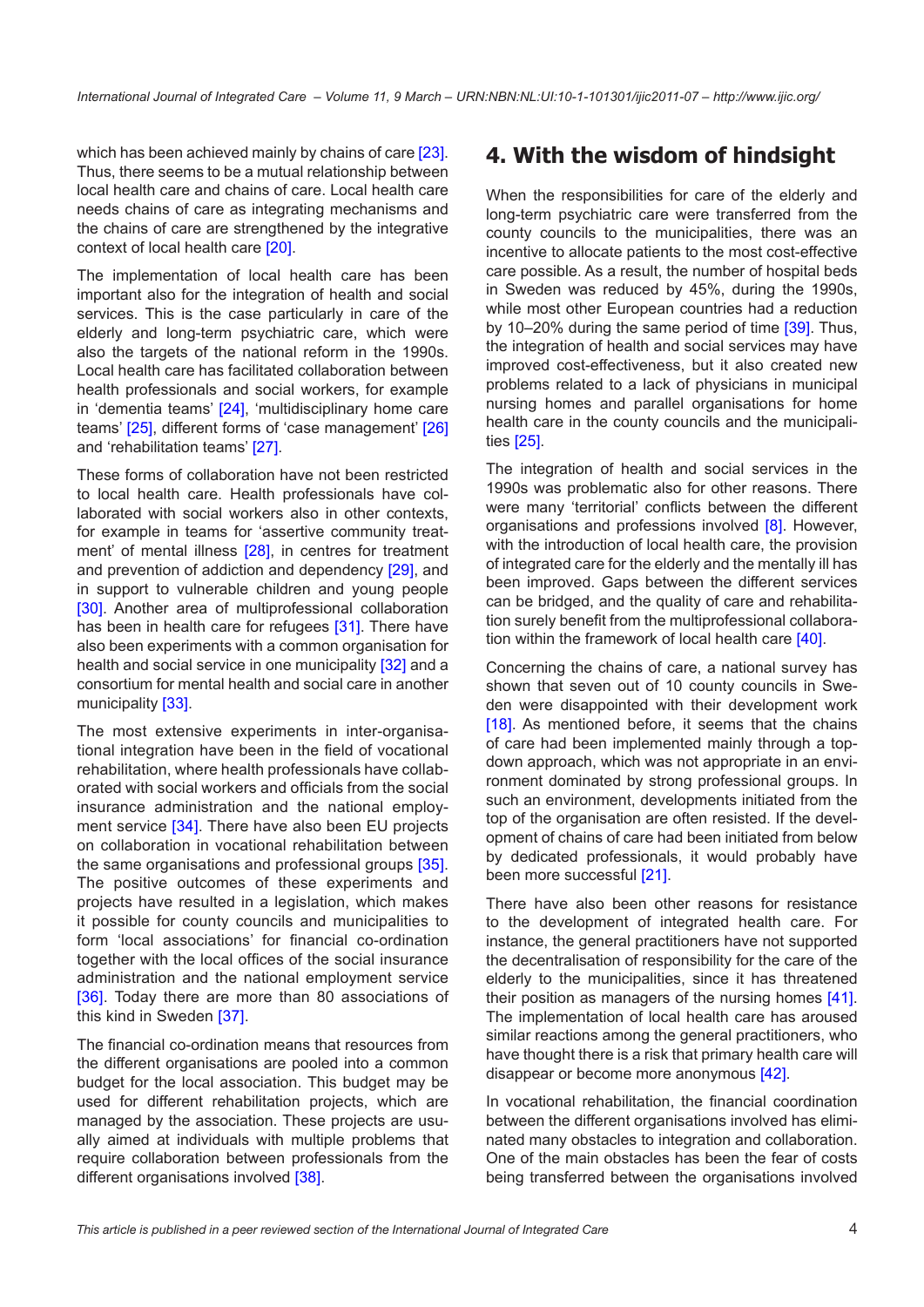which has been achieved mainly by chains of care [\[23\]](#page-6-0). Thus, there seems to be a mutual relationship between local health care and chains of care. Local health care needs chains of care as integrating mechanisms and the chains of care are strengthened by the integrative context of local health care [\[20](#page-5-0)].

The implementation of local health care has been important also for the integration of health and social services. This is the case particularly in care of the elderly and long-term psychiatric care, which were also the targets of the national reform in the 1990s. Local health care has facilitated collaboration between health professionals and social workers, for example in 'dementia teams' [[24](#page-6-0)], 'multidisciplinary home care teams' [[25\]](#page-6-0), different forms of 'case management' [\[26](#page-6-0)] and 'rehabilitation teams' [\[27\]](#page-6-0).

These forms of collaboration have not been restricted to local health care. Health professionals have collaborated with social workers also in other contexts, for example in teams for 'assertive community treat-ment' of mental illness [\[28](#page-6-0)], in centres for treatment and prevention of addiction and dependency [[29\]](#page-6-0), and in support to vulnerable children and young people [\[30\]](#page-6-0). Another area of multiprofessional collaboration has been in health care for refugees [\[31\]](#page-6-0). There have also been experiments with a common organisation for health and social service in one municipality [[32](#page-6-0)] and a consortium for mental health and social care in another municipality [\[33\]](#page-6-0).

The most extensive experiments in inter-organisational integration have been in the field of vocational rehabilitation, where health professionals have collaborated with social workers and officials from the social insurance administration and the national employ-ment service [[34](#page-6-0)]. There have also been EU projects on collaboration in vocational rehabilitation between the same organisations and professional groups [\[35](#page-6-0)]. The positive outcomes of these experiments and projects have resulted in a legislation, which makes it possible for county councils and municipalities to form 'local associations' for financial co-ordination together with the local offices of the social insurance administration and the national employment service [\[36\]](#page-6-0). Today there are more than 80 associations of this kind in Sweden [\[37\]](#page-6-0).

The financial co-ordination means that resources from the different organisations are pooled into a common budget for the local association. This budget may be used for different rehabilitation projects, which are managed by the association. These projects are usually aimed at individuals with multiple problems that require collaboration between professionals from the different organisations involved [[38\]](#page-6-0).

### **4. With the wisdom of hindsight**

When the responsibilities for care of the elderly and long-term psychiatric care were transferred from the county councils to the municipalities, there was an incentive to allocate patients to the most cost-effective care possible. As a result, the number of hospital beds in Sweden was reduced by 45%, during the 1990s, while most other European countries had a reduction by 10–20% during the same period of time [\[39](#page-6-0)]. Thus, the integration of health and social services may have improved cost-effectiveness, but it also created new problems related to a lack of physicians in municipal nursing homes and parallel organisations for home health care in the county councils and the municipalities [\[25](#page-6-0)].

The integration of health and social services in the 1990s was problematic also for other reasons. There were many 'territorial' conflicts between the different organisations and professions involved [[8\]](#page-5-0). However, with the introduction of local health care, the provision of integrated care for the elderly and the mentally ill has been improved. Gaps between the different services can be bridged, and the quality of care and rehabilitation surely benefit from the multiprofessional collabora-tion within the framework of local health care [\[40](#page-6-0)].

Concerning the chains of care, a national survey has shown that seven out of 10 county councils in Sweden were disappointed with their development work [\[18](#page-5-0)]. As mentioned before, it seems that the chains of care had been implemented mainly through a topdown approach, which was not appropriate in an environment dominated by strong professional groups. In such an environment, developments initiated from the top of the organisation are often resisted. If the development of chains of care had been initiated from below by dedicated professionals, it would probably have been more successful [\[21](#page-5-0)].

There have also been other reasons for resistance to the development of integrated health care. For instance, the general practitioners have not supported the decentralisation of responsibility for the care of the elderly to the municipalities, since it has threatened their position as managers of the nursing homes [\[41](#page-6-0)]. The implementation of local health care has aroused similar reactions among the general practitioners, who have thought there is a risk that primary health care will disappear or become more anonymous [[42\]](#page-6-0).

In vocational rehabilitation, the financial coordination between the different organisations involved has eliminated many obstacles to integration and collaboration. One of the main obstacles has been the fear of costs being transferred between the organisations involved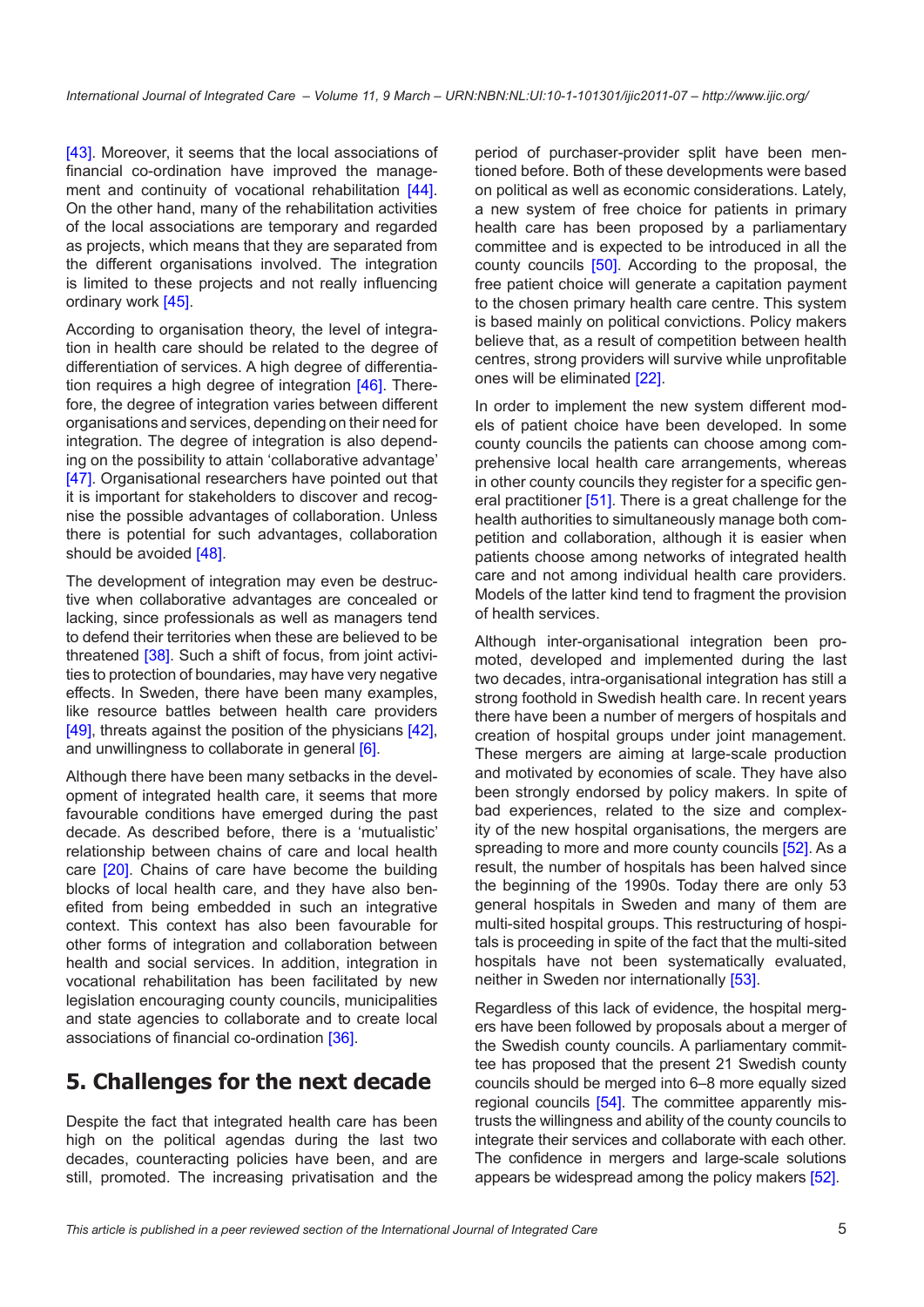[\[43](#page-6-0)]. Moreover, it seems that the local associations of financial co-ordination have improved the manage-ment and continuity of vocational rehabilitation [\[44\]](#page-6-0). On the other hand, many of the rehabilitation activities of the local associations are temporary and regarded as projects, which means that they are separated from the different organisations involved. The integration is limited to these projects and not really influencing ordinary work [\[45](#page-6-0)].

According to organisation theory, the level of integration in health care should be related to the degree of differentiation of services. A high degree of differentiation requires a high degree of integration [[46\]](#page-6-0). Therefore, the degree of integration varies between different organisations and services, depending on their need for integration. The degree of integration is also depending on the possibility to attain 'collaborative advantage' [\[47](#page-6-0)]. Organisational researchers have pointed out that it is important for stakeholders to discover and recognise the possible advantages of collaboration. Unless there is potential for such advantages, collaboration should be avoided [\[48](#page-6-0)].

The development of integration may even be destructive when collaborative advantages are concealed or lacking, since professionals as well as managers tend to defend their territories when these are believed to be threatened [[38\]](#page-6-0). Such a shift of focus, from joint activities to protection of boundaries, may have very negative effects. In Sweden, there have been many examples, like resource battles between health care providers [\[49](#page-6-0)], threats against the position of the physicians [[42\]](#page-6-0), and unwillingness to collaborate in general [\[6\]](#page-5-0).

Although there have been many setbacks in the development of integrated health care, it seems that more favourable conditions have emerged during the past decade. As described before, there is a 'mutualistic' relationship between chains of care and local health care [\[20](#page-5-0)]. Chains of care have become the building blocks of local health care, and they have also benefited from being embedded in such an integrative context. This context has also been favourable for other forms of integration and collaboration between health and social services. In addition, integration in vocational rehabilitation has been facilitated by new legislation encouraging county councils, municipalities and state agencies to collaborate and to create local associations of financial co-ordination [\[36](#page-6-0)].

# **5. Challenges for the next decade**

Despite the fact that integrated health care has been high on the political agendas during the last two decades, counteracting policies have been, and are still, promoted. The increasing privatisation and the period of purchaser-provider split have been mentioned before. Both of these developments were based on political as well as economic considerations. Lately, a new system of free choice for patients in primary health care has been proposed by a parliamentary committee and is expected to be introduced in all the county councils [[50](#page-7-0)]. According to the proposal, the free patient choice will generate a capitation payment to the chosen primary health care centre. This system is based mainly on political convictions. Policy makers believe that, as a result of competition between health centres, strong providers will survive while unprofitable ones will be eliminated [\[22](#page-5-0)].

In order to implement the new system different models of patient choice have been developed. In some county councils the patients can choose among comprehensive local health care arrangements, whereas in other county councils they register for a specific general practitioner [\[51](#page-7-0)]. There is a great challenge for the health authorities to simultaneously manage both competition and collaboration, although it is easier when patients choose among networks of integrated health care and not among individual health care providers. Models of the latter kind tend to fragment the provision of health services.

Although inter-organisational integration been promoted, developed and implemented during the last two decades, intra-organisational integration has still a strong foothold in Swedish health care. In recent years there have been a number of mergers of hospitals and creation of hospital groups under joint management. These mergers are aiming at large-scale production and motivated by economies of scale. They have also been strongly endorsed by policy makers. In spite of bad experiences, related to the size and complexity of the new hospital organisations, the mergers are spreading to more and more county councils [\[52](#page-7-0)]. As a result, the number of hospitals has been halved since the beginning of the 1990s. Today there are only 53 general hospitals in Sweden and many of them are multi-sited hospital groups. This restructuring of hospitals is proceeding in spite of the fact that the multi-sited hospitals have not been systematically evaluated, neither in Sweden nor internationally [\[53\]](#page-7-0).

Regardless of this lack of evidence, the hospital mergers have been followed by proposals about a merger of the Swedish county councils. A parliamentary committee has proposed that the present 21 Swedish county councils should be merged into 6–8 more equally sized regional councils [\[54\]](#page-7-0). The committee apparently mistrusts the willingness and ability of the county councils to integrate their services and collaborate with each other. The confidence in mergers and large-scale solutions appears be widespread among the policy makers [[52\]](#page-7-0).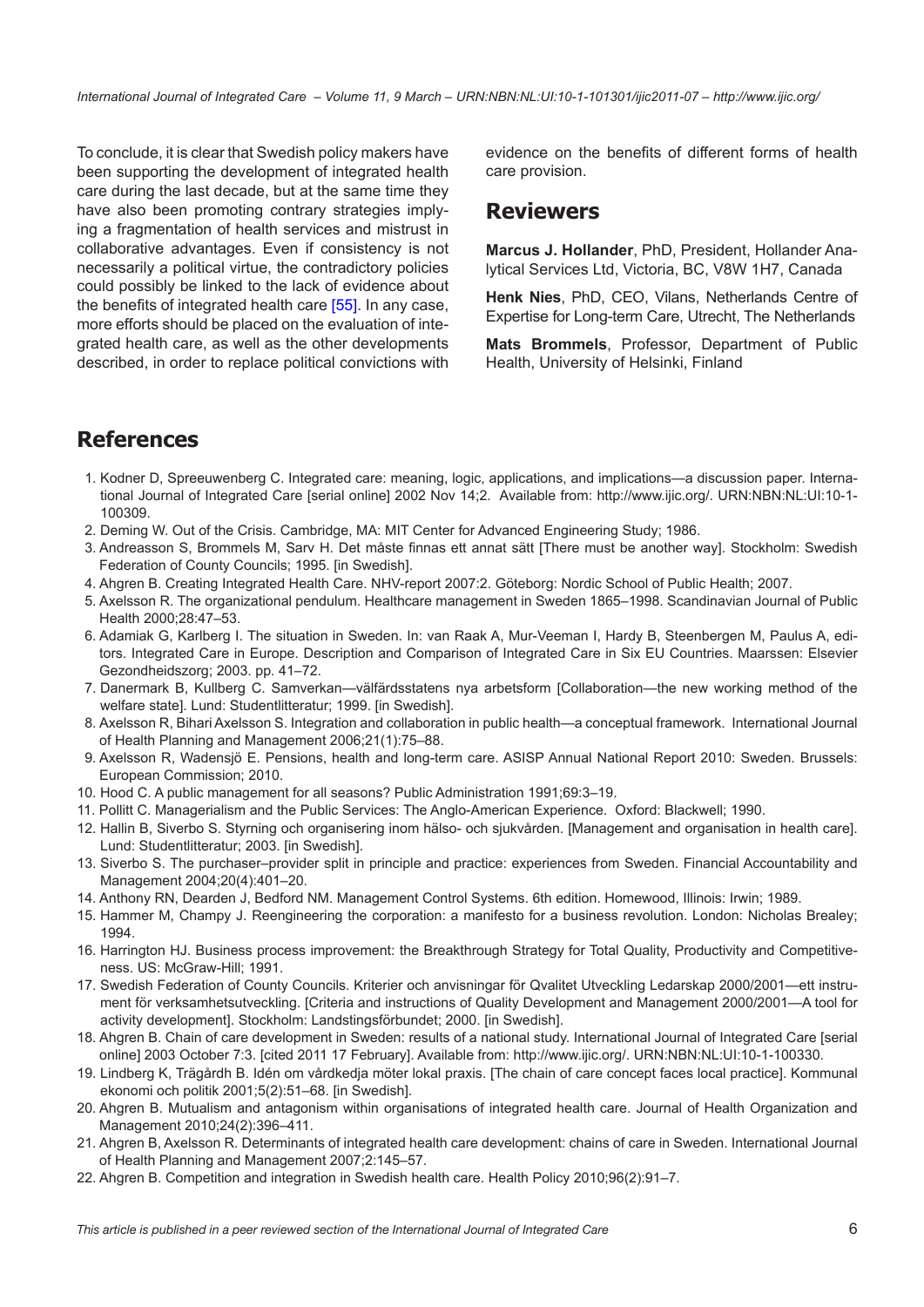<span id="page-5-0"></span>To conclude, it is clear that Swedish policy makers have been supporting the development of integrated health care during the last decade, but at the same time they have also been promoting contrary strategies implying a fragmentation of health services and mistrust in collaborative advantages. Even if consistency is not necessarily a political virtue, the contradictory policies could possibly be linked to the lack of evidence about the benefits of integrated health care [\[55](#page-7-0)]. In any case, more efforts should be placed on the evaluation of integrated health care, as well as the other developments described, in order to replace political convictions with

evidence on the benefits of different forms of health care provision.

#### **Reviewers**

**Marcus J. Hollander**, PhD, President, Hollander Analytical Services Ltd, Victoria, BC, V8W 1H7, Canada

**Henk Nies**, PhD, CEO, Vilans, Netherlands Centre of Expertise for Long-term Care, Utrecht, The Netherlands

**Mats Brommels**, Professor, Department of Public Health, University of Helsinki, Finland

### **References**

- 1. Kodner D, Spreeuwenberg C. Integrated care: meaning, logic, applications, and implications—a discussion paper. International Journal of Integrated Care [serial online] 2002 Nov 14;2. Available from: <http://www.ijic.org/>. [URN:NBN:NL:UI:10-1-](http://persistent-identifier.nl/?identifier=URN:NBN:NL:UI:10-1-100309) [100309.](http://persistent-identifier.nl/?identifier=URN:NBN:NL:UI:10-1-100309)
- 2. Deming W. Out of the Crisis. Cambridge, MA: MIT Center for Advanced Engineering Study; 1986.
- 3. Andreasson S, Brommels M, Sarv H. Det måste finnas ett annat sätt [There must be another way]. Stockholm: Swedish Federation of County Councils; 1995. [in Swedish].
- 4. Ahgren B. Creating Integrated Health Care. NHV-report 2007:2. Göteborg: Nordic School of Public Health; 2007.
- 5. Axelsson R. The organizational pendulum. Healthcare management in Sweden 1865–1998. Scandinavian Journal of Public Health 2000;28:47–53.
- 6. Adamiak G, Karlberg I. The situation in Sweden. In: van Raak A, Mur-Veeman I, Hardy B, Steenbergen M, Paulus A, editors. Integrated Care in Europe. Description and Comparison of Integrated Care in Six EU Countries. Maarssen: Elsevier Gezondheidszorg; 2003. pp. 41–72.
- 7. Danermark B, Kullberg C. Samverkan—välfärdsstatens nya arbetsform [Collaboration—the new working method of the welfare state]. Lund: Studentlitteratur; 1999. [in Swedish].
- 8. Axelsson R, Bihari Axelsson S. Integration and collaboration in public health—a conceptual framework. International Journal of Health Planning and Management 2006;21(1):75–88.
- 9. Axelsson R, Wadensjö E. Pensions, health and long-term care. ASISP Annual National Report 2010: Sweden. Brussels: European Commission; 2010.
- 10. Hood C. A public management for all seasons? Public Administration 1991;69:3–19.
- 11. Pollitt C. Managerialism and the Public Services: The Anglo-American Experience. Oxford: Blackwell; 1990.
- 12. Hallin B, Siverbo S. Styrning och organisering inom hälso- och sjukvården. [Management and organisation in health care]. Lund: Studentlitteratur; 2003. [in Swedish].
- 13. Siverbo S. The purchaser–provider split in principle and practice: experiences from Sweden. Financial Accountability and Management 2004;20(4):401–20.
- 14. Anthony RN, Dearden J, Bedford NM. Management Control Systems. 6th edition. Homewood, Illinois: Irwin; 1989.
- 15. Hammer M, Champy J. Reengineering the corporation: a manifesto for a business revolution. London: Nicholas Brealey; 1994.
- 16. Harrington HJ. Business process improvement: the Breakthrough Strategy for Total Quality, Productivity and Competitiveness. US: McGraw-Hill; 1991.
- 17. Swedish Federation of County Councils. Kriterier och anvisningar för Qvalitet Utveckling Ledarskap 2000/2001—ett instrument för verksamhetsutveckling. [Criteria and instructions of Quality Development and Management 2000/2001—A tool for activity development]. Stockholm: Landstingsförbundet; 2000. [in Swedish].
- 18. Ahgren B. Chain of care development in Sweden: results of a national study. International Journal of Integrated Care [serial online] 2003 October 7:3. [cited 2011 17 February]. Available from: <http://www.ijic.org/>. [URN:NBN:NL:UI:10-1-100330.](http://persistent-identifier.nl/?identifier=URN:NBN:NL:UI:10-1-100330)
- 19. Lindberg K, Trägårdh B. Idén om vårdkedja möter lokal praxis. [The chain of care concept faces local practice]. Kommunal ekonomi och politik 2001;5(2):51–68. [in Swedish].
- 20. Ahgren B. Mutualism and antagonism within organisations of integrated health care. Journal of Health Organization and Management 2010;24(2):396–411.
- 21. Ahgren B, Axelsson R. Determinants of integrated health care development: chains of care in Sweden. International Journal of Health Planning and Management 2007;2:145–57.
- 22. Ahgren B. Competition and integration in Swedish health care. Health Policy 2010;96(2):91–7.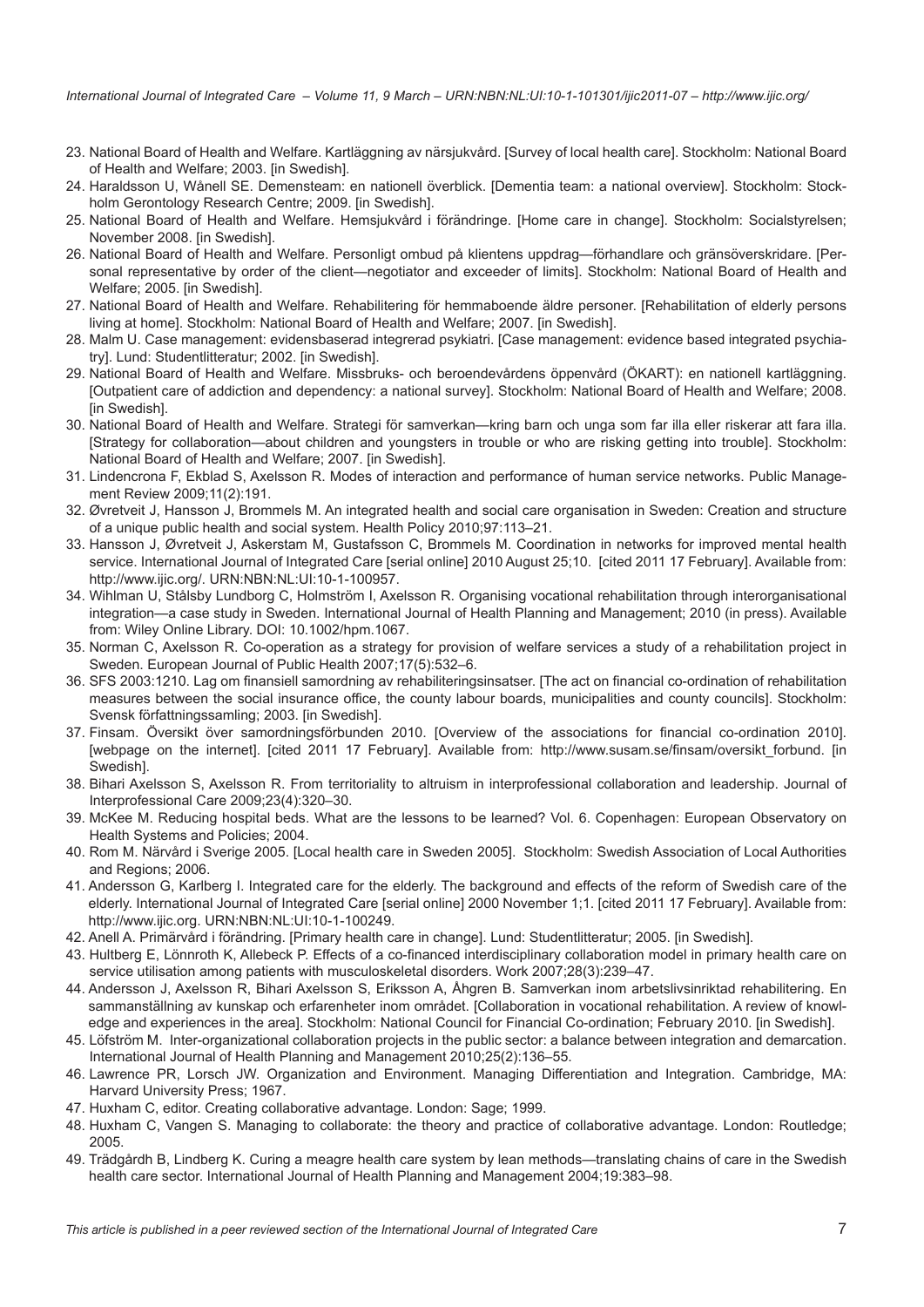- <span id="page-6-0"></span>23. National Board of Health and Welfare. Kartläggning av närsjukvård. [Survey of local health care]. Stockholm: National Board of Health and Welfare; 2003. [in Swedish].
- 24. Haraldsson U, Wånell SE. Demensteam: en nationell överblick. [Dementia team: a national overview]. Stockholm: Stockholm Gerontology Research Centre; 2009. [in Swedish].
- 25. National Board of Health and Welfare. Hemsjukvård i förändringe. [Home care in change]. Stockholm: Socialstyrelsen; November 2008. [in Swedish].
- 26. National Board of Health and Welfare. Personligt ombud på klientens uppdrag—förhandlare och gränsöverskridare. [Personal representative by order of the client—negotiator and exceeder of limits]. Stockholm: National Board of Health and Welfare; 2005. [in Swedish].
- 27. National Board of Health and Welfare. Rehabilitering för hemmaboende äldre personer. [Rehabilitation of elderly persons living at home]. Stockholm: National Board of Health and Welfare; 2007. [in Swedish].
- 28. Malm U. Case management: evidensbaserad integrerad psykiatri. [Case management: evidence based integrated psychiatry]. Lund: Studentlitteratur; 2002. [in Swedish].
- 29. National Board of Health and Welfare. Missbruks- och beroendevårdens öppenvård (ÖKART): en nationell kartläggning. [Outpatient care of addiction and dependency: a national survey]. Stockholm: National Board of Health and Welfare; 2008. [in Swedish].
- 30. National Board of Health and Welfare. Strategi för samverkan—kring barn och unga som far illa eller riskerar att fara illa. [Strategy for collaboration—about children and youngsters in trouble or who are risking getting into trouble]. Stockholm: National Board of Health and Welfare; 2007. [in Swedish].
- 31. Lindencrona F, Ekblad S, Axelsson R. Modes of interaction and performance of human service networks. Public Management Review 2009;11(2):191.
- 32. Øvretveit J, Hansson J, Brommels M. An integrated health and social care organisation in Sweden: Creation and structure of a unique public health and social system. Health Policy 2010;97:113–21.
- 33. Hansson J, Øvretveit J, Askerstam M, Gustafsson C, Brommels M. Coordination in networks for improved mental health service. International Journal of Integrated Care [serial online] 2010 August 25;10. [cited 2011 17 February]. Available from: <http://www.ijic.org/>. [URN:NBN:NL:UI:10-1-100957](http://persistent-identifier.nl/?identifier=URN:NBN:NL:UI:10-1-100957).
- 34. Wihlman U, Stålsby Lundborg C, Holmström I, Axelsson R. Organising vocational rehabilitation through interorganisational integration—a case study in Sweden. International Journal of Health Planning and Management; 2010 (in press). Available from: Wiley Online Library. DOI: 10.1002/hpm.1067.
- 35. Norman C, Axelsson R. Co-operation as a strategy for provision of welfare services a study of a rehabilitation project in Sweden. European Journal of Public Health 2007;17(5):532–6.
- 36. SFS 2003:1210. Lag om finansiell samordning av rehabiliteringsinsatser. [The act on financial co-ordination of rehabilitation measures between the social insurance office, the county labour boards, municipalities and county councils]. Stockholm: Svensk författningssamling; 2003. [in Swedish].
- 37. Finsam. Översikt över samordningsförbunden 2010. [Overview of the associations for financial co-ordination 2010]. [webpage on the internet]. [cited 2011 17 February]. Available from: http://www.susam.se/finsam/oversikt forbund. [in Swedish].
- 38. Bihari Axelsson S, Axelsson R. From territoriality to altruism in interprofessional collaboration and leadership. Journal of Interprofessional Care 2009;23(4):320–30.
- 39. McKee M. Reducing hospital beds. What are the lessons to be learned? Vol. 6. Copenhagen: European Observatory on Health Systems and Policies; 2004.
- 40. Rom M. Närvård i Sverige 2005. [Local health care in Sweden 2005]. Stockholm: Swedish Association of Local Authorities and Regions; 2006.
- 41. Andersson G, Karlberg I. Integrated care for the elderly. The background and effects of the reform of Swedish care of the elderly. International Journal of Integrated Care [serial online] 2000 November 1;1. [cited 2011 17 February]. Available from: <http://www.ijic.org>. [URN:NBN:NL:UI:10-1-100249](http://persistent-identifier.nl/?identifier=URN:NBN:NL:UI:10-1-100249).
- 42. Anell A. Primärvård i förändring. [Primary health care in change]. Lund: Studentlitteratur; 2005. [in Swedish].
- 43. Hultberg E, Lönnroth K, Allebeck P. Effects of a co-financed interdisciplinary collaboration model in primary health care on service utilisation among patients with musculoskeletal disorders. Work 2007;28(3):239–47.
- 44. Andersson J, Axelsson R, Bihari Axelsson S, Eriksson A, Åhgren B. Samverkan inom arbetslivsinriktad rehabilitering. En sammanställning av kunskap och erfarenheter inom området. [Collaboration in vocational rehabilitation. A review of knowledge and experiences in the area]. Stockholm: National Council for Financial Co-ordination; February 2010. [in Swedish].
- 45. Löfström M. Inter-organizational collaboration projects in the public sector: a balance between integration and demarcation. International Journal of Health Planning and Management 2010;25(2):136–55.
- 46. Lawrence PR, Lorsch JW. Organization and Environment. Managing Differentiation and Integration. Cambridge, MA: Harvard University Press; 1967.
- 47. Huxham C, editor. Creating collaborative advantage. London: Sage; 1999.
- 48. Huxham C, Vangen S. Managing to collaborate: the theory and practice of collaborative advantage. London: Routledge; 2005.
- 49. Trädgårdh B, Lindberg K. Curing a meagre health care system by lean methods—translating chains of care in the Swedish health care sector. International Journal of Health Planning and Management 2004;19:383–98.